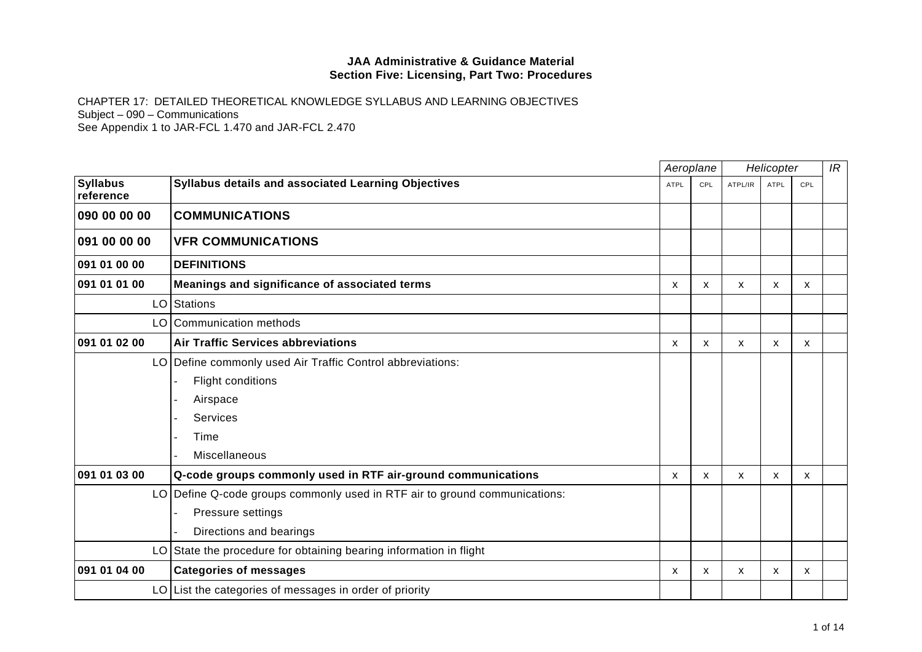|                              |                                                                            | Aeroplane                 |              | Helicopter |             |              | IR |
|------------------------------|----------------------------------------------------------------------------|---------------------------|--------------|------------|-------------|--------------|----|
| <b>Syllabus</b><br>reference | Syllabus details and associated Learning Objectives                        | <b>ATPL</b>               | CPL          | ATPL/IR    | <b>ATPL</b> | CPL          |    |
| 090 00 00 00                 | <b>COMMUNICATIONS</b>                                                      |                           |              |            |             |              |    |
| 091 00 00 00                 | <b>VFR COMMUNICATIONS</b>                                                  |                           |              |            |             |              |    |
| 091 01 00 00                 | <b>DEFINITIONS</b>                                                         |                           |              |            |             |              |    |
| 091 01 01 00                 | Meanings and significance of associated terms                              | $\boldsymbol{\mathsf{x}}$ | $\mathsf{x}$ | X          | X           | $\mathsf{x}$ |    |
| LO                           | Stations                                                                   |                           |              |            |             |              |    |
| LO                           | Communication methods                                                      |                           |              |            |             |              |    |
| 091 01 02 00                 | <b>Air Traffic Services abbreviations</b>                                  | X                         | X            | X          | X           | X            |    |
|                              | LO Define commonly used Air Traffic Control abbreviations:                 |                           |              |            |             |              |    |
|                              | Flight conditions                                                          |                           |              |            |             |              |    |
|                              | Airspace                                                                   |                           |              |            |             |              |    |
|                              | Services                                                                   |                           |              |            |             |              |    |
|                              | Time                                                                       |                           |              |            |             |              |    |
|                              | Miscellaneous                                                              |                           |              |            |             |              |    |
| 091 01 03 00                 | Q-code groups commonly used in RTF air-ground communications               | X                         | X            | X          | X           | $\mathsf{x}$ |    |
|                              | LO Define Q-code groups commonly used in RTF air to ground communications: |                           |              |            |             |              |    |
|                              | Pressure settings                                                          |                           |              |            |             |              |    |
|                              | Directions and bearings                                                    |                           |              |            |             |              |    |
| LO                           | State the procedure for obtaining bearing information in flight            |                           |              |            |             |              |    |
| 091 01 04 00                 | <b>Categories of messages</b>                                              | $\boldsymbol{\mathsf{x}}$ | $\mathsf{x}$ | X          | X           | X            |    |
|                              | $LO$ List the categories of messages in order of priority                  |                           |              |            |             |              |    |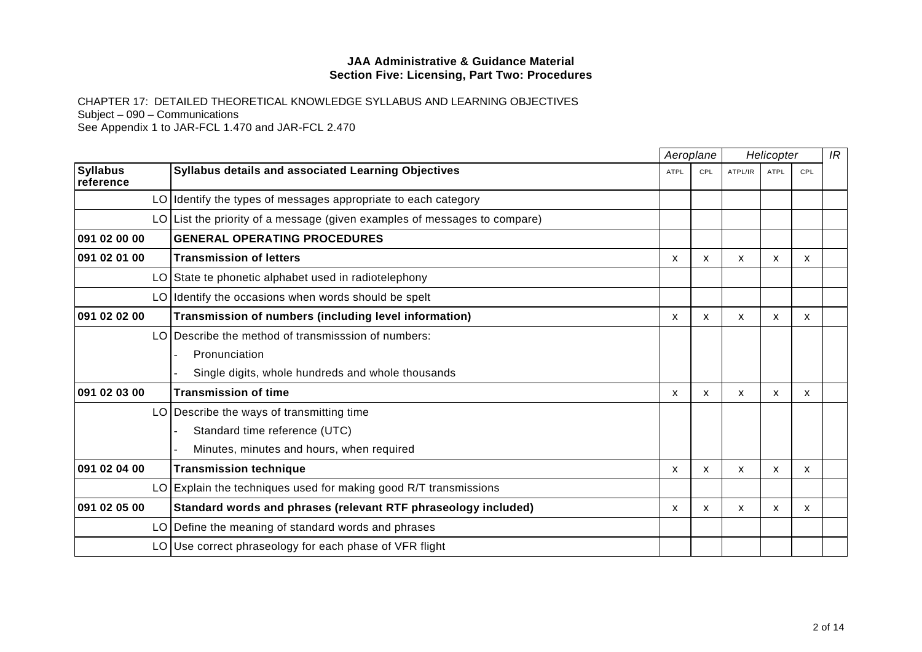|                              |                                                                             |             | Aeroplane |         | Helicopter   |              | IR |
|------------------------------|-----------------------------------------------------------------------------|-------------|-----------|---------|--------------|--------------|----|
| <b>Syllabus</b><br>reference | Syllabus details and associated Learning Objectives                         | <b>ATPL</b> | CPL       | ATPL/IR | <b>ATPL</b>  | CPL          |    |
|                              | LO Identify the types of messages appropriate to each category              |             |           |         |              |              |    |
|                              | $LO$ List the priority of a message (given examples of messages to compare) |             |           |         |              |              |    |
| 091 02 00 00                 | <b>GENERAL OPERATING PROCEDURES</b>                                         |             |           |         |              |              |    |
| 091 02 01 00                 | <b>Transmission of letters</b>                                              | X           | x         | x       | X            | X            |    |
|                              | LO State te phonetic alphabet used in radiotelephony                        |             |           |         |              |              |    |
|                              | LO Identify the occasions when words should be spelt                        |             |           |         |              |              |    |
| 091 02 02 00                 | Transmission of numbers (including level information)                       | X           | X         | X       | X            | X            |    |
| LO                           | Describe the method of transmisssion of numbers:                            |             |           |         |              |              |    |
|                              | Pronunciation                                                               |             |           |         |              |              |    |
|                              | Single digits, whole hundreds and whole thousands                           |             |           |         |              |              |    |
| 091 02 03 00                 | <b>Transmission of time</b>                                                 | X           | X         | X       | $\mathsf{x}$ | $\mathsf{x}$ |    |
|                              | LO Describe the ways of transmitting time                                   |             |           |         |              |              |    |
|                              | Standard time reference (UTC)                                               |             |           |         |              |              |    |
|                              | Minutes, minutes and hours, when required                                   |             |           |         |              |              |    |
| 091 02 04 00                 | <b>Transmission technique</b>                                               | X           | X         | X       | X            | X            |    |
| LO                           | Explain the techniques used for making good R/T transmissions               |             |           |         |              |              |    |
| 091 02 05 00                 | Standard words and phrases (relevant RTF phraseology included)              | X           | X         | X       | $\mathsf{x}$ | X            |    |
| LO                           | Define the meaning of standard words and phrases                            |             |           |         |              |              |    |
| LO                           | Use correct phraseology for each phase of VFR flight                        |             |           |         |              |              |    |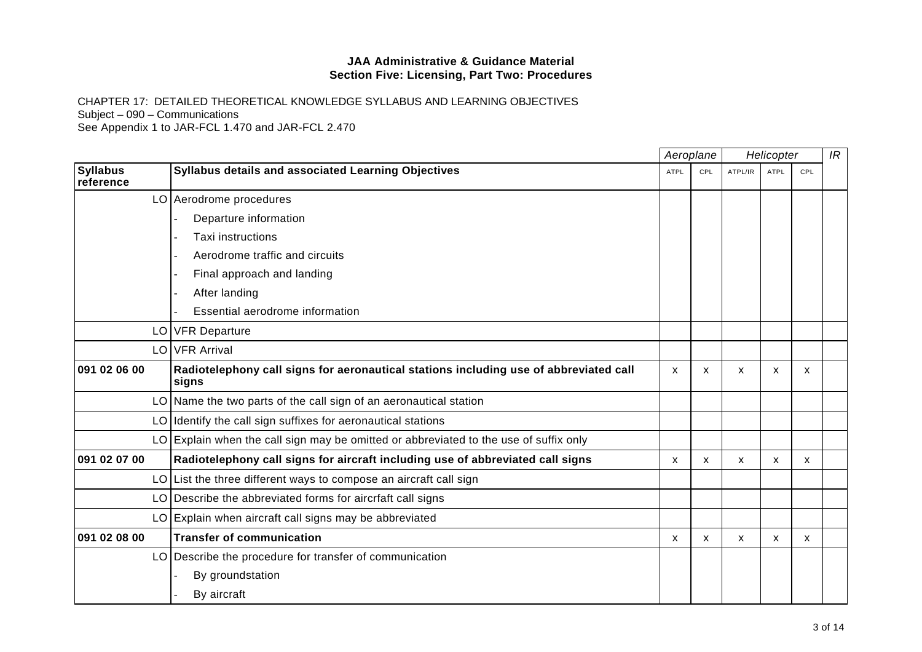|                              |                                                                                                |             | Aeroplane    |         | Helicopter  |                           | IR |
|------------------------------|------------------------------------------------------------------------------------------------|-------------|--------------|---------|-------------|---------------------------|----|
| <b>Syllabus</b><br>reference | Syllabus details and associated Learning Objectives                                            | <b>ATPL</b> | CPL          | ATPL/IR | <b>ATPL</b> | <b>CPL</b>                |    |
|                              | LO Aerodrome procedures                                                                        |             |              |         |             |                           |    |
|                              | Departure information                                                                          |             |              |         |             |                           |    |
|                              | Taxi instructions                                                                              |             |              |         |             |                           |    |
|                              | Aerodrome traffic and circuits                                                                 |             |              |         |             |                           |    |
|                              | Final approach and landing                                                                     |             |              |         |             |                           |    |
|                              | After landing                                                                                  |             |              |         |             |                           |    |
|                              | Essential aerodrome information                                                                |             |              |         |             |                           |    |
| LO                           | <b>VFR Departure</b>                                                                           |             |              |         |             |                           |    |
|                              | LO VFR Arrival                                                                                 |             |              |         |             |                           |    |
| 091 02 06 00                 | Radiotelephony call signs for aeronautical stations including use of abbreviated call<br>signs | X           | X            | X       | X           | $\mathsf{x}$              |    |
| LO                           | Name the two parts of the call sign of an aeronautical station                                 |             |              |         |             |                           |    |
|                              | LO Identify the call sign suffixes for aeronautical stations                                   |             |              |         |             |                           |    |
|                              | $LO$ Explain when the call sign may be omitted or abbreviated to the use of suffix only        |             |              |         |             |                           |    |
| 091 02 07 00                 | Radiotelephony call signs for aircraft including use of abbreviated call signs                 | X           | X            | X       | x           | $\mathsf{x}$              |    |
|                              | $LO$ List the three different ways to compose an aircraft call sign                            |             |              |         |             |                           |    |
| LO                           | Describe the abbreviated forms for aircriaft call signs                                        |             |              |         |             |                           |    |
|                              | LO Explain when aircraft call signs may be abbreviated                                         |             |              |         |             |                           |    |
| 091 02 08 00                 | <b>Transfer of communication</b>                                                               | X           | $\mathsf{x}$ | X       | X           | $\boldsymbol{\mathsf{x}}$ |    |
| LO                           | Describe the procedure for transfer of communication                                           |             |              |         |             |                           |    |
|                              | By groundstation                                                                               |             |              |         |             |                           |    |
|                              | By aircraft                                                                                    |             |              |         |             |                           |    |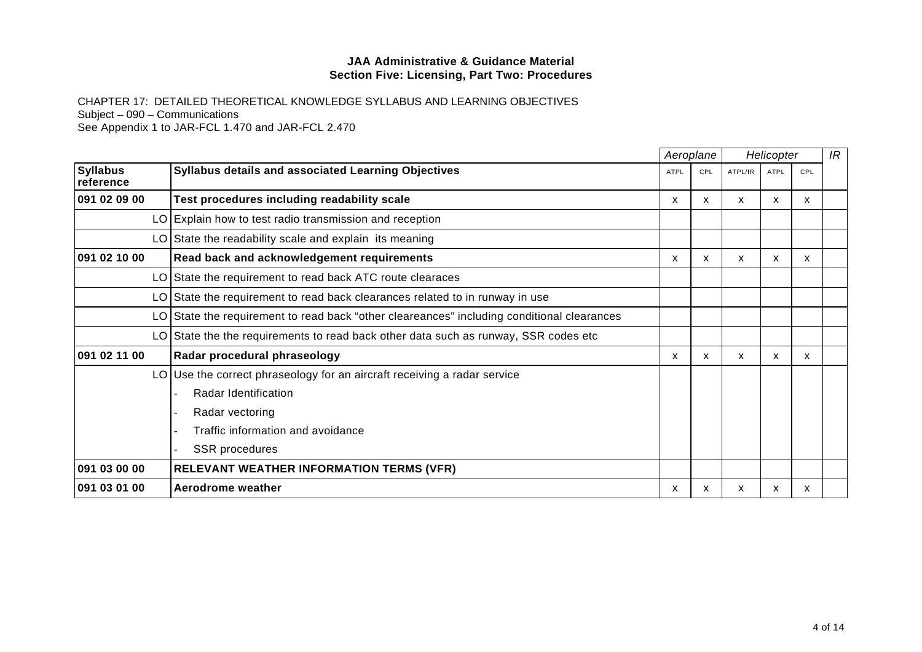|                              |                                                                                            |      | Aeroplane | Helicopter |              |              | IR |
|------------------------------|--------------------------------------------------------------------------------------------|------|-----------|------------|--------------|--------------|----|
| <b>Syllabus</b><br>reference | <b>Syllabus details and associated Learning Objectives</b>                                 | ATPL | CPL       | ATPL/IR    | ATPL         | CPL          |    |
| 091 02 09 00                 | Test procedures including readability scale                                                | x    | x         | x          | x            | X            |    |
|                              | LO Explain how to test radio transmission and reception                                    |      |           |            |              |              |    |
|                              | $LO$ State the readability scale and explain its meaning                                   |      |           |            |              |              |    |
| 091 02 10 00                 | Read back and acknowledgement requirements                                                 | X    | x         | X          | $\mathsf{x}$ | $\mathsf{X}$ |    |
|                              | LO State the requirement to read back ATC route clearaces                                  |      |           |            |              |              |    |
|                              | LO State the requirement to read back clearances related to in runway in use               |      |           |            |              |              |    |
|                              | LO State the requirement to read back "other cleareances" including conditional clearances |      |           |            |              |              |    |
|                              | LO State the the requirements to read back other data such as runway, SSR codes etc        |      |           |            |              |              |    |
| 091 02 11 00                 | Radar procedural phraseology                                                               | X    | X         | X          | x            | x            |    |
|                              | $LO$ Use the correct phraseology for an aircraft receiving a radar service                 |      |           |            |              |              |    |
|                              | Radar Identification                                                                       |      |           |            |              |              |    |
|                              | Radar vectoring                                                                            |      |           |            |              |              |    |
|                              | Traffic information and avoidance                                                          |      |           |            |              |              |    |
|                              | <b>SSR</b> procedures                                                                      |      |           |            |              |              |    |
| 091 03 00 00                 | <b>RELEVANT WEATHER INFORMATION TERMS (VFR)</b>                                            |      |           |            |              |              |    |
| 091 03 01 00                 | Aerodrome weather                                                                          | X    | x         | x          | x            | X            |    |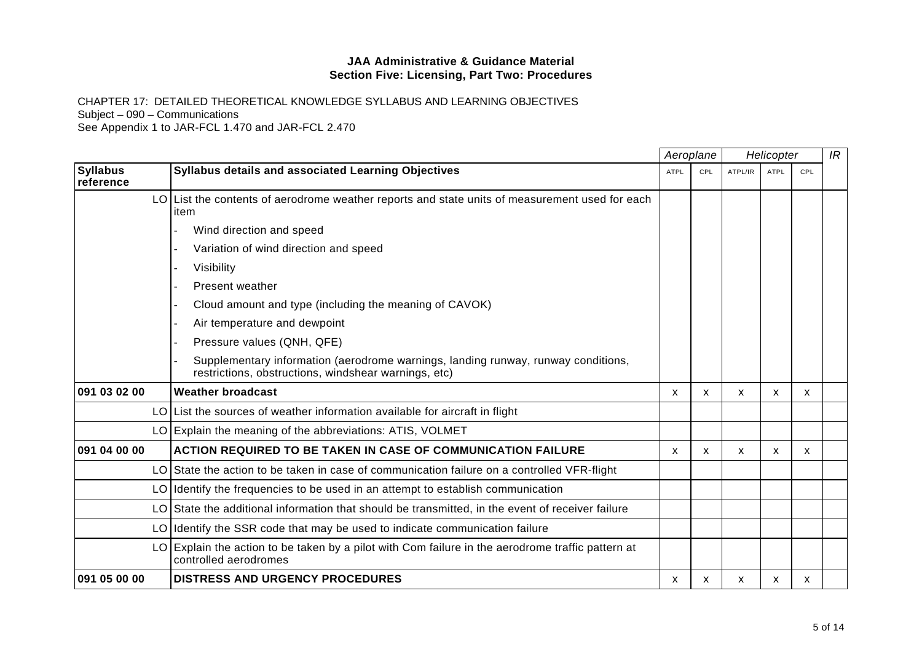CHAPTER 17: DETAILED THEORETICAL KNOWLEDGE SYLLABUS AND LEARNING OBJECTIVES Subject – 090 – Communications See Appendix 1 to JAR-FCL 1.470 and JAR-FCL 2.470

**Syllabus reference Syllabus details and associated Learning Objectives** ATPL ATPL ATPL CPL ATPL/IR ATPL CPL CPL CPL  $LO$  List the contents of aerodrome weather reports and state units of measurement used for each item Wind direction and speed - Variation of wind direction and speed - Visibility - Present weather - Cloud amount and type (including the meaning of CAVOK)

|              | Visibility                                                                                                                                |   |   |   |    |   |  |
|--------------|-------------------------------------------------------------------------------------------------------------------------------------------|---|---|---|----|---|--|
|              | <b>Present weather</b>                                                                                                                    |   |   |   |    |   |  |
|              | Cloud amount and type (including the meaning of CAVOK)                                                                                    |   |   |   |    |   |  |
|              | Air temperature and dewpoint                                                                                                              |   |   |   |    |   |  |
|              | Pressure values (QNH, QFE)                                                                                                                |   |   |   |    |   |  |
|              | Supplementary information (aerodrome warnings, landing runway, runway conditions,<br>restrictions, obstructions, windshear warnings, etc) |   |   |   |    |   |  |
| 091 03 02 00 | <b>Weather broadcast</b>                                                                                                                  | x | X | X | X. | X |  |
|              | LO List the sources of weather information available for aircraft in flight                                                               |   |   |   |    |   |  |
|              | LO Explain the meaning of the abbreviations: ATIS, VOLMET                                                                                 |   |   |   |    |   |  |
| 091 04 00 00 | <b>ACTION REQUIRED TO BE TAKEN IN CASE OF COMMUNICATION FAILURE</b>                                                                       | x | X | X | x  | X |  |
|              | LO State the action to be taken in case of communication failure on a controlled VFR-flight                                               |   |   |   |    |   |  |
| LO I         | Identify the frequencies to be used in an attempt to establish communication                                                              |   |   |   |    |   |  |
|              | LO State the additional information that should be transmitted, in the event of receiver failure                                          |   |   |   |    |   |  |
| LO I         | Identify the SSR code that may be used to indicate communication failure                                                                  |   |   |   |    |   |  |
|              | $LO$ Explain the action to be taken by a pilot with Com failure in the aerodrome traffic pattern at<br>controlled aerodromes              |   |   |   |    |   |  |
| 091 05 00 00 | <b>DISTRESS AND URGENCY PROCEDURES</b>                                                                                                    | х | x | x | x  | X |  |

 $\overline{IR}$ 

*Aeroplane Helicopter*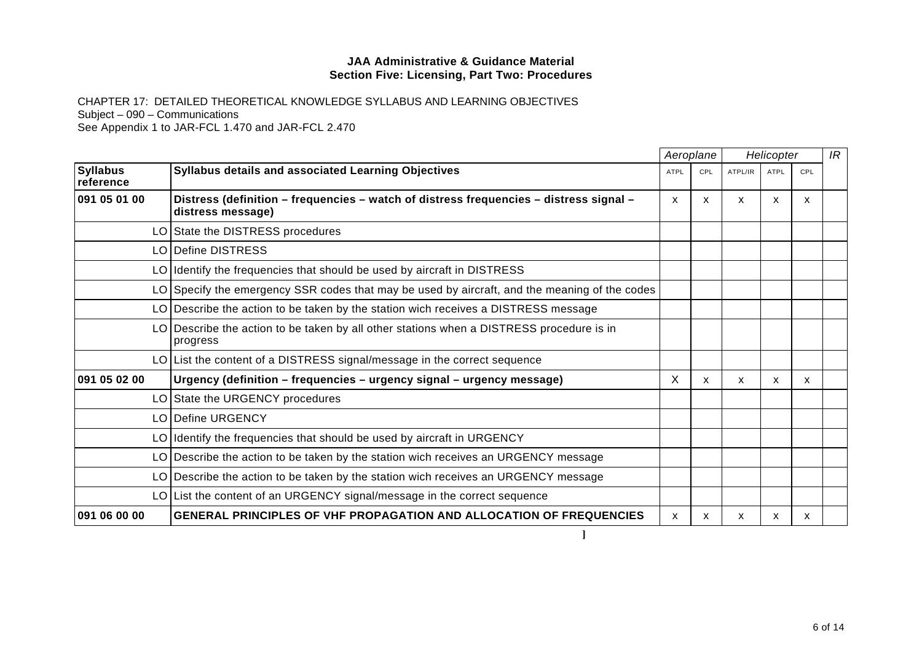|                              |                                                                                                             |      | Aeroplane | Helicopter                |              |     | IR |
|------------------------------|-------------------------------------------------------------------------------------------------------------|------|-----------|---------------------------|--------------|-----|----|
| <b>Syllabus</b><br>reference | <b>Syllabus details and associated Learning Objectives</b>                                                  | ATPL | CPL       | ATPL/IR                   | <b>ATPL</b>  | CPL |    |
| 091 05 01 00                 | Distress (definition – frequencies – watch of distress frequencies – distress signal –<br>distress message) | X    | X         | $\boldsymbol{\mathsf{x}}$ | $\mathsf{x}$ | X   |    |
|                              | LO State the DISTRESS procedures                                                                            |      |           |                           |              |     |    |
|                              | LO Define DISTRESS                                                                                          |      |           |                           |              |     |    |
|                              | LO Identify the frequencies that should be used by aircraft in DISTRESS                                     |      |           |                           |              |     |    |
|                              | LO Specify the emergency SSR codes that may be used by aircraft, and the meaning of the codes               |      |           |                           |              |     |    |
|                              | LO Describe the action to be taken by the station wich receives a DISTRESS message                          |      |           |                           |              |     |    |
|                              | LO Describe the action to be taken by all other stations when a DISTRESS procedure is in<br>progress        |      |           |                           |              |     |    |
|                              | LO List the content of a DISTRESS signal/message in the correct sequence                                    |      |           |                           |              |     |    |
| 091 05 02 00                 | Urgency (definition - frequencies - urgency signal - urgency message)                                       | X    | X.        | <b>X</b>                  | X            | X   |    |
|                              | LO State the URGENCY procedures                                                                             |      |           |                           |              |     |    |
|                              | LO Define URGENCY                                                                                           |      |           |                           |              |     |    |
|                              | LO Identify the frequencies that should be used by aircraft in URGENCY                                      |      |           |                           |              |     |    |
|                              | LO Describe the action to be taken by the station wich receives an URGENCY message                          |      |           |                           |              |     |    |
|                              | LO Describe the action to be taken by the station wich receives an URGENCY message                          |      |           |                           |              |     |    |
|                              | LO List the content of an URGENCY signal/message in the correct sequence                                    |      |           |                           |              |     |    |
| 091 06 00 00                 | <b>GENERAL PRINCIPLES OF VHF PROPAGATION AND ALLOCATION OF FREQUENCIES</b>                                  | X    | X.        | X.                        | X            | x   |    |
|                              |                                                                                                             |      |           |                           |              |     |    |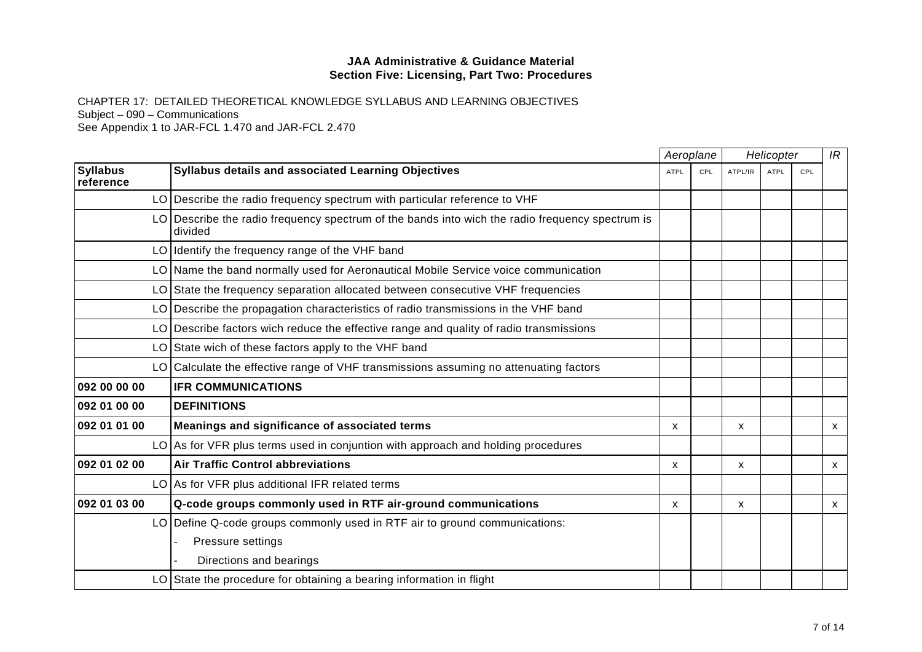|                              |                                                                                                              |              | Aeroplane  | Helicopter |             |     | IR           |
|------------------------------|--------------------------------------------------------------------------------------------------------------|--------------|------------|------------|-------------|-----|--------------|
| <b>Syllabus</b><br>reference | Syllabus details and associated Learning Objectives                                                          | <b>ATPL</b>  | <b>CPL</b> | ATPL/IR    | <b>ATPL</b> | CPL |              |
|                              | LO Describe the radio frequency spectrum with particular reference to VHF                                    |              |            |            |             |     |              |
|                              | $LO$ Describe the radio frequency spectrum of the bands into wich the radio frequency spectrum is<br>divided |              |            |            |             |     |              |
|                              | LO Identify the frequency range of the VHF band                                                              |              |            |            |             |     |              |
|                              | LO Name the band normally used for Aeronautical Mobile Service voice communication                           |              |            |            |             |     |              |
|                              | LO State the frequency separation allocated between consecutive VHF frequencies                              |              |            |            |             |     |              |
|                              | LO Describe the propagation characteristics of radio transmissions in the VHF band                           |              |            |            |             |     |              |
|                              | LO Describe factors wich reduce the effective range and quality of radio transmissions                       |              |            |            |             |     |              |
|                              | LO State wich of these factors apply to the VHF band                                                         |              |            |            |             |     |              |
|                              | LO Calculate the effective range of VHF transmissions assuming no attenuating factors                        |              |            |            |             |     |              |
| 092 00 00 00                 | <b>IFR COMMUNICATIONS</b>                                                                                    |              |            |            |             |     |              |
| 092 01 00 00                 | <b>DEFINITIONS</b>                                                                                           |              |            |            |             |     |              |
| 092 01 01 00                 | Meanings and significance of associated terms                                                                | X            |            | x          |             |     | X            |
|                              | $LO$ As for VFR plus terms used in conjuntion with approach and holding procedures                           |              |            |            |             |     |              |
| 092 01 02 00                 | <b>Air Traffic Control abbreviations</b>                                                                     | $\mathsf{x}$ |            | X          |             |     | $\mathsf{x}$ |
|                              | LO As for VFR plus additional IFR related terms                                                              |              |            |            |             |     |              |
| 092 01 03 00                 | Q-code groups commonly used in RTF air-ground communications                                                 | X            |            | X          |             |     | X            |
|                              | LO Define Q-code groups commonly used in RTF air to ground communications:                                   |              |            |            |             |     |              |
|                              | Pressure settings                                                                                            |              |            |            |             |     |              |
|                              | Directions and bearings                                                                                      |              |            |            |             |     |              |
|                              | $LO$ State the procedure for obtaining a bearing information in flight                                       |              |            |            |             |     |              |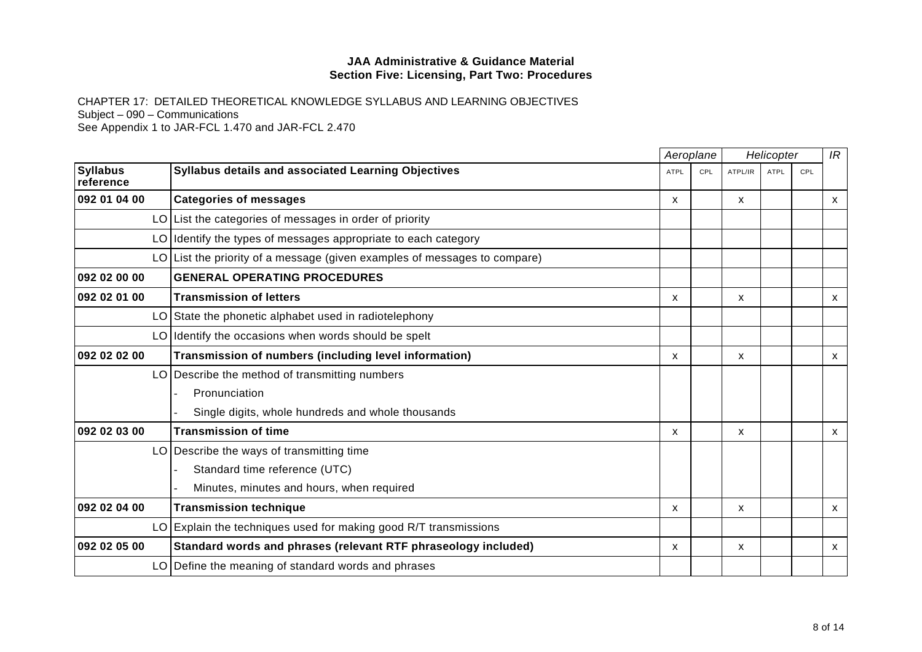|                              |                                                                             |             | Aeroplane<br>Helicopter |         |             | IR  |              |
|------------------------------|-----------------------------------------------------------------------------|-------------|-------------------------|---------|-------------|-----|--------------|
| <b>Syllabus</b><br>reference | <b>Syllabus details and associated Learning Objectives</b>                  | <b>ATPL</b> | CPL                     | ATPL/IR | <b>ATPL</b> | CPL |              |
| 092 01 04 00                 | <b>Categories of messages</b>                                               | X           |                         | X       |             |     | X            |
|                              | $LO$ List the categories of messages in order of priority                   |             |                         |         |             |     |              |
|                              | LO Identify the types of messages appropriate to each category              |             |                         |         |             |     |              |
|                              | $LO$ List the priority of a message (given examples of messages to compare) |             |                         |         |             |     |              |
| 092 02 00 00                 | <b>GENERAL OPERATING PROCEDURES</b>                                         |             |                         |         |             |     |              |
| 092 02 01 00                 | <b>Transmission of letters</b>                                              | X           |                         | X       |             |     | $\mathsf{x}$ |
|                              | LO State the phonetic alphabet used in radiotelephony                       |             |                         |         |             |     |              |
|                              | LO Identify the occasions when words should be spelt                        |             |                         |         |             |     |              |
| 092 02 02 00                 | Transmission of numbers (including level information)                       | X           |                         | x       |             |     | X            |
|                              | LO Describe the method of transmitting numbers                              |             |                         |         |             |     |              |
|                              | Pronunciation                                                               |             |                         |         |             |     |              |
|                              | Single digits, whole hundreds and whole thousands                           |             |                         |         |             |     |              |
| 092 02 03 00                 | <b>Transmission of time</b>                                                 | X           |                         | X       |             |     | X            |
|                              | $LO$ Describe the ways of transmitting time                                 |             |                         |         |             |     |              |
|                              | Standard time reference (UTC)                                               |             |                         |         |             |     |              |
|                              | Minutes, minutes and hours, when required                                   |             |                         |         |             |     |              |
| 092 02 04 00                 | <b>Transmission technique</b>                                               | X           |                         | X       |             |     | X            |
|                              | $LO$ Explain the techniques used for making good R/T transmissions          |             |                         |         |             |     |              |
| 092 02 05 00                 | Standard words and phrases (relevant RTF phraseology included)              | X           |                         | X       |             |     | X            |
|                              | LO Define the meaning of standard words and phrases                         |             |                         |         |             |     |              |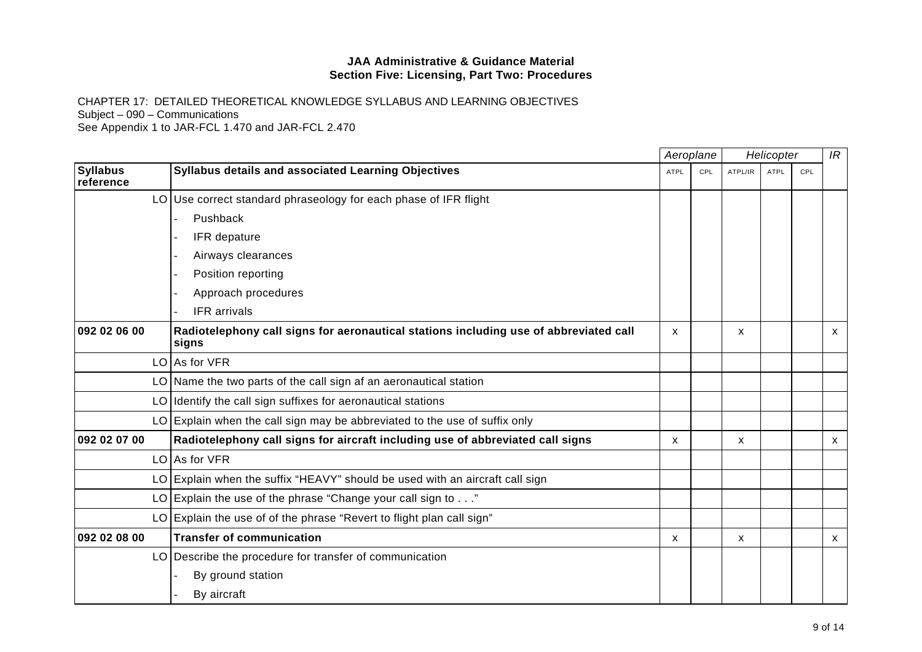CHAPTER 17: DETAILED THEORETICAL KNOWLEDGE SYLLABUS AND LEARNING OBJECTIVES Subject – 090 – Communications See Appendix 1 to JAR-FCL 1.470 and JAR-FCL 2.470

*Aeroplane Helicopter* **Syllabus referenceSyllabus details and associated Learning Objectives** ATPL CPL ATPL CPL ATPL/IR ATPL CPL CPL ATPL/IR ATPL CPL *IR*  $LO$  Use correct standard phraseology for each phase of IFR flight **Pushback** IFR depature - Airways clearances Position reporting - Approach procedures IFR arrivals **092 02 06 00 Radiotelephony call signs for aeronautical stations including use of abbreviated call signs**  x x x  $LO$  As for VFR LO Name the two parts of the call sign af an aeronautical station LO Identify the call sign suffixes for aeronautical stations LO Explain when the call sign may be abbreviated to the use of suffix only **092 02 07 00 Radiotelephony call signs for aircraft including use of abbreviated call signs** x x x LO | As for VFR\_  $LO$  Explain when the suffix "HEAVY" should be used with an aircraft call sign LO Explain the use of the phrase "Change your call sign to  $\dots$ " LO Explain the use of of the phrase "Revert to flight plan call sign" **092 02 08 00**  $\blacksquare$  **Transfer of communication**  $\blacksquare$  **x**  $\blacksquare$  **x**  $\blacksquare$  **x**  $\blacksquare$  **x**  $\blacksquare$  **x**  $\blacksquare$  **x**  $\blacksquare$  **x**  $\blacksquare$  **x**  $\blacksquare$  **x**  $\blacksquare$  **x**  $\blacksquare$  **x**  $\blacksquare$  **x**  $\blacksquare$  **x**  $\blacksquare$  **x**  $\blacksquare$  **x**  $\blacksquare$  **x**  $\blacksquare$  **x**  $\blacksquare$  **x**  $\blacksquare$  **x \bl** LO Describe the procedure for transfer of communication By ground station By aircraft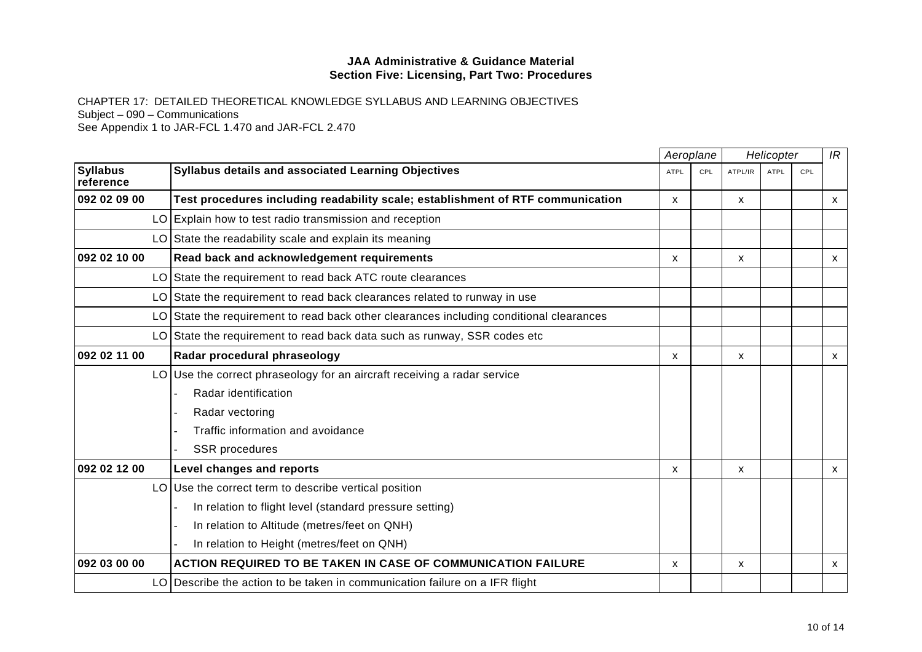|                              |                                                                                           |              | Aeroplane  |         | Helicopter  |     | IR           |
|------------------------------|-------------------------------------------------------------------------------------------|--------------|------------|---------|-------------|-----|--------------|
| <b>Syllabus</b><br>reference | <b>Syllabus details and associated Learning Objectives</b>                                | <b>ATPL</b>  | <b>CPL</b> | ATPL/IR | <b>ATPL</b> | CPL |              |
| 092 02 09 00                 | Test procedures including readability scale; establishment of RTF communication           | $\mathsf{x}$ |            | X       |             |     | X            |
|                              | LO Explain how to test radio transmission and reception                                   |              |            |         |             |     |              |
|                              | LO State the readability scale and explain its meaning                                    |              |            |         |             |     |              |
| 092 02 10 00                 | Read back and acknowledgement requirements                                                | X            |            | X       |             |     | X            |
|                              | LO State the requirement to read back ATC route clearances                                |              |            |         |             |     |              |
|                              | LO State the requirement to read back clearances related to runway in use                 |              |            |         |             |     |              |
|                              | $LO$ State the requirement to read back other clearances including conditional clearances |              |            |         |             |     |              |
| LO                           | State the requirement to read back data such as runway, SSR codes etc                     |              |            |         |             |     |              |
| 092 02 11 00                 | Radar procedural phraseology                                                              | X            |            | X       |             |     | $\mathsf{x}$ |
|                              | $LO$ Use the correct phraseology for an aircraft receiving a radar service                |              |            |         |             |     |              |
|                              | Radar identification                                                                      |              |            |         |             |     |              |
|                              | Radar vectoring                                                                           |              |            |         |             |     |              |
|                              | Traffic information and avoidance                                                         |              |            |         |             |     |              |
|                              | <b>SSR</b> procedures                                                                     |              |            |         |             |     |              |
| 092 02 12 00                 | Level changes and reports                                                                 | $\mathsf{x}$ |            | X       |             |     | $\mathsf{x}$ |
|                              | $LO$ Use the correct term to describe vertical position                                   |              |            |         |             |     |              |
|                              | In relation to flight level (standard pressure setting)                                   |              |            |         |             |     |              |
|                              | In relation to Altitude (metres/feet on QNH)                                              |              |            |         |             |     |              |
|                              | In relation to Height (metres/feet on QNH)                                                |              |            |         |             |     |              |
| 092 03 00 00                 | <b>ACTION REQUIRED TO BE TAKEN IN CASE OF COMMUNICATION FAILURE</b>                       | X            |            | X       |             |     | X            |
|                              | LO Describe the action to be taken in communication failure on a IFR flight               |              |            |         |             |     |              |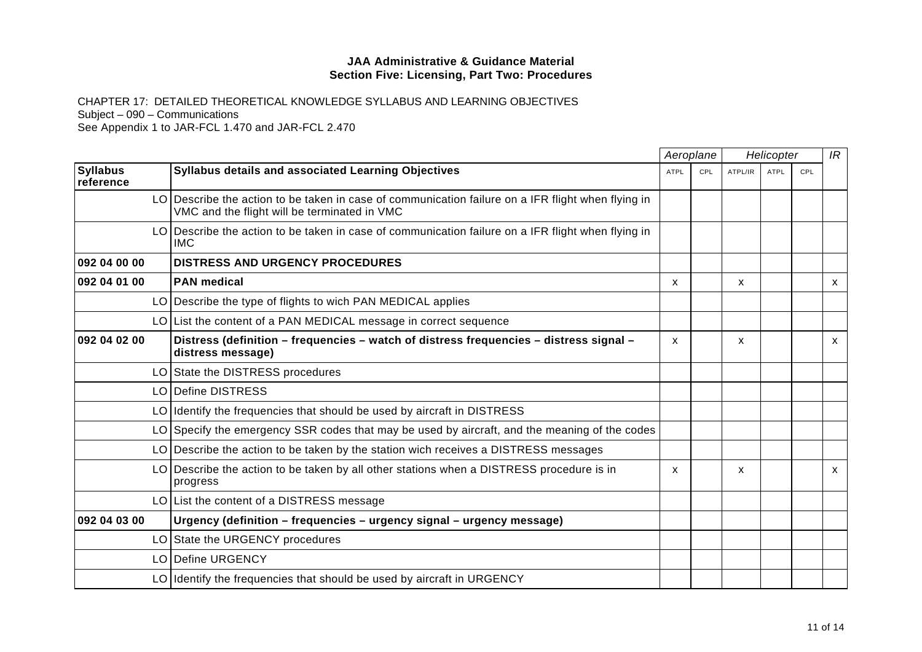CHAPTER 17: DETAILED THEORETICAL KNOWLEDGE SYLLABUS AND LEARNING OBJECTIVES Subject – 090 – Communications

See Appendix 1 to JAR-FCL 1.470 and JAR-FCL 2.470

|                              |                                                                                                                                                    | Aeroplane    |     | Helicopter |             |     | IR           |
|------------------------------|----------------------------------------------------------------------------------------------------------------------------------------------------|--------------|-----|------------|-------------|-----|--------------|
| <b>Syllabus</b><br>reference | Syllabus details and associated Learning Objectives                                                                                                | <b>ATPL</b>  | CPL | ATPL/IR    | <b>ATPL</b> | CPL |              |
|                              | LO Describe the action to be taken in case of communication failure on a IFR flight when flying in<br>VMC and the flight will be terminated in VMC |              |     |            |             |     |              |
|                              | LO Describe the action to be taken in case of communication failure on a IFR flight when flying in<br><b>IMC</b>                                   |              |     |            |             |     |              |
| 092 04 00 00                 | <b>DISTRESS AND URGENCY PROCEDURES</b>                                                                                                             |              |     |            |             |     |              |
| 092 04 01 00                 | <b>PAN medical</b>                                                                                                                                 | X            |     | X          |             |     | $\mathsf{x}$ |
|                              | LO   Describe the type of flights to wich PAN MEDICAL applies                                                                                      |              |     |            |             |     |              |
|                              | LO List the content of a PAN MEDICAL message in correct sequence                                                                                   |              |     |            |             |     |              |
| 092 04 02 00                 | Distress (definition – frequencies – watch of distress frequencies – distress signal –<br>distress message)                                        | $\mathsf{x}$ |     | X          |             |     | $\mathsf{x}$ |
|                              | LO State the DISTRESS procedures                                                                                                                   |              |     |            |             |     |              |
|                              | LO Define DISTRESS                                                                                                                                 |              |     |            |             |     |              |
| LO                           | Identify the frequencies that should be used by aircraft in DISTRESS                                                                               |              |     |            |             |     |              |
|                              | LO Specify the emergency SSR codes that may be used by aircraft, and the meaning of the codes                                                      |              |     |            |             |     |              |
|                              | LO Describe the action to be taken by the station wich receives a DISTRESS messages                                                                |              |     |            |             |     |              |
|                              | LO Describe the action to be taken by all other stations when a DISTRESS procedure is in<br>progress                                               | $\mathsf{x}$ |     | X          |             |     | $\mathsf{x}$ |
|                              | LO List the content of a DISTRESS message                                                                                                          |              |     |            |             |     |              |
| 092 04 03 00                 | Urgency (definition – frequencies – urgency signal – urgency message)                                                                              |              |     |            |             |     |              |
|                              | LO State the URGENCY procedures                                                                                                                    |              |     |            |             |     |              |
|                              | LO Define URGENCY                                                                                                                                  |              |     |            |             |     |              |
| LO I                         | Identify the frequencies that should be used by aircraft in URGENCY                                                                                |              |     |            |             |     |              |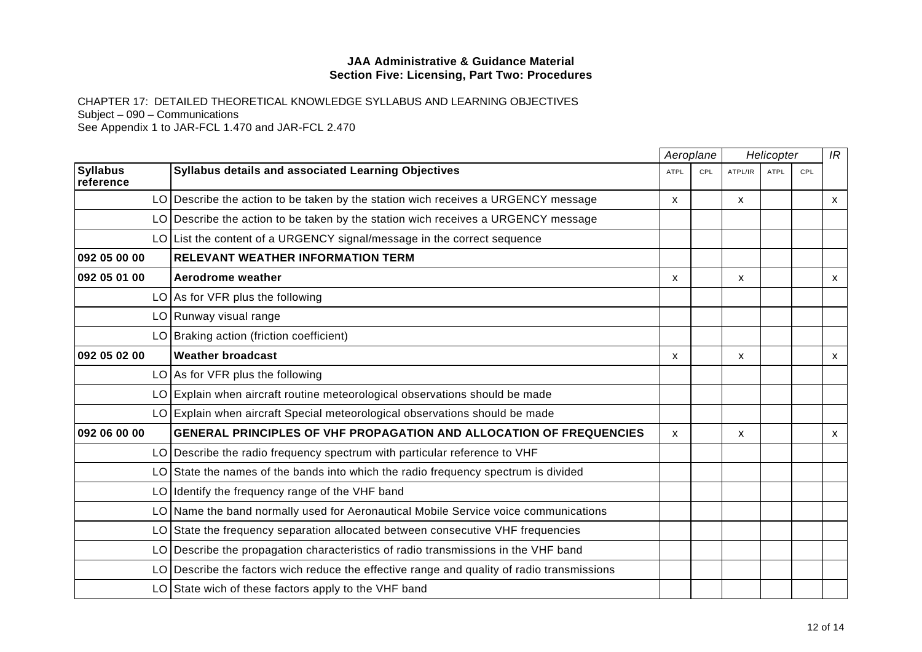|                              |                                                                                            |              | Aeroplane |         | Helicopter  |     | IR           |
|------------------------------|--------------------------------------------------------------------------------------------|--------------|-----------|---------|-------------|-----|--------------|
| <b>Syllabus</b><br>reference | Syllabus details and associated Learning Objectives                                        | <b>ATPL</b>  | CPL       | ATPL/IR | <b>ATPL</b> | CPL |              |
|                              | LO Describe the action to be taken by the station wich receives a URGENCY message          | X            |           | X       |             |     | X            |
|                              | LO Describe the action to be taken by the station wich receives a URGENCY message          |              |           |         |             |     |              |
|                              | LO List the content of a URGENCY signal/message in the correct sequence                    |              |           |         |             |     |              |
| 092 05 00 00                 | <b>RELEVANT WEATHER INFORMATION TERM</b>                                                   |              |           |         |             |     |              |
| 092 05 01 00                 | Aerodrome weather                                                                          | $\mathsf{x}$ |           | X       |             |     | <b>X</b>     |
|                              | $LO$ As for VFR plus the following                                                         |              |           |         |             |     |              |
|                              | LO Runway visual range                                                                     |              |           |         |             |     |              |
|                              | LO Braking action (friction coefficient)                                                   |              |           |         |             |     |              |
| 092 05 02 00                 | <b>Weather broadcast</b>                                                                   | X            |           | X       |             |     | $\mathsf{x}$ |
|                              | $LO$ As for VFR plus the following                                                         |              |           |         |             |     |              |
|                              | LO Explain when aircraft routine meteorological observations should be made                |              |           |         |             |     |              |
|                              | LO Explain when aircraft Special meteorological observations should be made                |              |           |         |             |     |              |
| 092 06 00 00                 | <b>GENERAL PRINCIPLES OF VHF PROPAGATION AND ALLOCATION OF FREQUENCIES</b>                 | X            |           | X       |             |     | $\mathsf{x}$ |
|                              | LO Describe the radio frequency spectrum with particular reference to VHF                  |              |           |         |             |     |              |
|                              | $LO$ State the names of the bands into which the radio frequency spectrum is divided       |              |           |         |             |     |              |
|                              | $LO$ Identify the frequency range of the VHF band                                          |              |           |         |             |     |              |
|                              | LO Name the band normally used for Aeronautical Mobile Service voice communications        |              |           |         |             |     |              |
|                              | LO State the frequency separation allocated between consecutive VHF frequencies            |              |           |         |             |     |              |
| LO                           | Describe the propagation characteristics of radio transmissions in the VHF band            |              |           |         |             |     |              |
|                              | LO Describe the factors wich reduce the effective range and quality of radio transmissions |              |           |         |             |     |              |
|                              | LO State wich of these factors apply to the VHF band                                       |              |           |         |             |     |              |